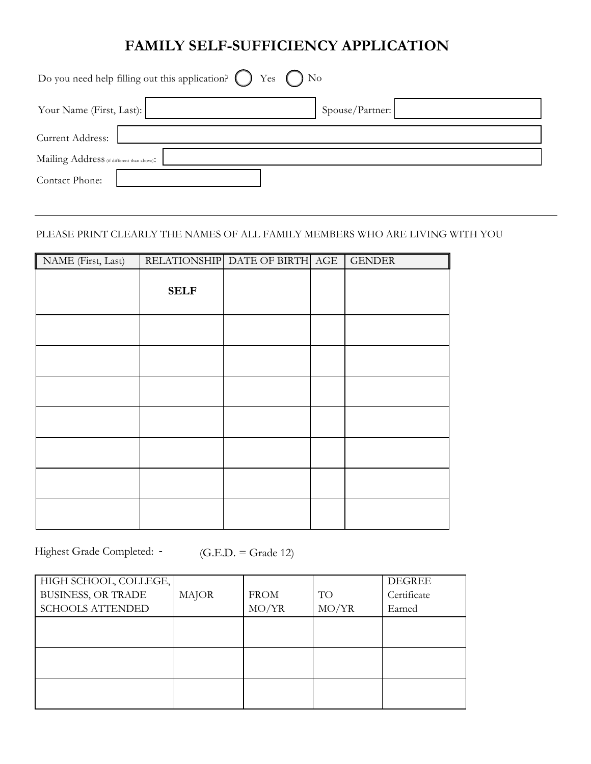## **FAMILY SELF-SUFFICIENCY APPLICATION**

| Do you need help filling out this application? $\bigcirc$ Yes $\bigcirc$ No |                 |  |
|-----------------------------------------------------------------------------|-----------------|--|
| Your Name (First, Last):                                                    | Spouse/Partner: |  |
| Current Address:                                                            |                 |  |
| Mailing Address (if different than above):                                  |                 |  |
| Contact Phone:                                                              |                 |  |

## PLEASE PRINT CLEARLY THE NAMES OF ALL FAMILY MEMBERS WHO ARE LIVING WITH YOU

| NAME (First, Last) |             | RELATIONSHIP DATE OF BIRTH AGE | <b>GENDER</b> |
|--------------------|-------------|--------------------------------|---------------|
|                    | <b>SELF</b> |                                |               |
|                    |             |                                |               |
|                    |             |                                |               |
|                    |             |                                |               |
|                    |             |                                |               |
|                    |             |                                |               |
|                    |             |                                |               |
|                    |             |                                |               |

Highest Grade Completed: -

 $(G.E.D. = Grade 12)$ 

| HIGH SCHOOL, COLLEGE,     |              |             |       | <b>DEGREE</b> |
|---------------------------|--------------|-------------|-------|---------------|
| <b>BUSINESS, OR TRADE</b> | <b>MAJOR</b> | <b>FROM</b> | TO    | Certificate   |
| <b>SCHOOLS ATTENDED</b>   |              | MO/YR       | MO/YR | Earned        |
|                           |              |             |       |               |
|                           |              |             |       |               |
|                           |              |             |       |               |
|                           |              |             |       |               |
|                           |              |             |       |               |
|                           |              |             |       |               |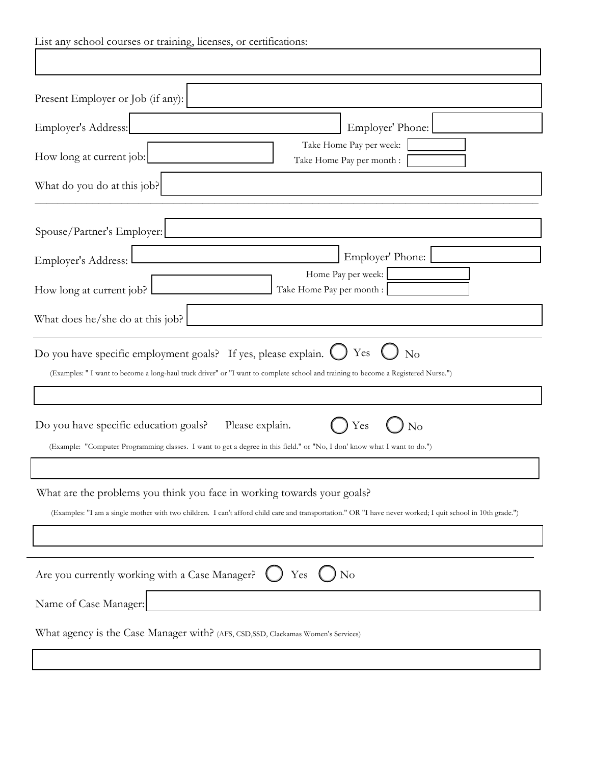| List any school courses or training, licenses, or certifications:                                                                                                                                                                     |  |  |
|---------------------------------------------------------------------------------------------------------------------------------------------------------------------------------------------------------------------------------------|--|--|
|                                                                                                                                                                                                                                       |  |  |
|                                                                                                                                                                                                                                       |  |  |
| Present Employer or Job (if any):                                                                                                                                                                                                     |  |  |
| Employer's Address:<br>Employer' Phone:                                                                                                                                                                                               |  |  |
| Take Home Pay per week:<br>How long at current job:<br>Take Home Pay per month :                                                                                                                                                      |  |  |
| What do you do at this job?                                                                                                                                                                                                           |  |  |
| Spouse/Partner's Employer:                                                                                                                                                                                                            |  |  |
| Employer' Phone: [<br><u> 1980 - Johann Barbara, martxa alemaniar a</u><br>Employer's Address: L                                                                                                                                      |  |  |
| Home Pay per week:<br>How long at current job?<br>Take Home Pay per month :                                                                                                                                                           |  |  |
| What does he/she do at this job?                                                                                                                                                                                                      |  |  |
| Yes<br>Do you have specific employment goals? If yes, please explain. (<br>No<br>(Examples: "I want to become a long-haul truck driver" or "I want to complete school and training to become a Registered Nurse.")                    |  |  |
|                                                                                                                                                                                                                                       |  |  |
| Please explain.<br>Do you have specific education goals?<br>Yes<br>$\rm No$                                                                                                                                                           |  |  |
| (Example: "Computer Programming classes. I want to get a degree in this field." or "No, I don' know what I want to do.")                                                                                                              |  |  |
| What are the problems you think you face in working towards your goals?<br>(Examples: "I am a single mother with two children. I can't afford child care and transportation." OR "I have never worked; I quit school in 10th grade.") |  |  |
|                                                                                                                                                                                                                                       |  |  |
| Are you currently working with a Case Manager?<br>Yes<br>N <sub>o</sub>                                                                                                                                                               |  |  |
| Name of Case Manager:                                                                                                                                                                                                                 |  |  |
| What agency is the Case Manager with? (AFS, CSD, SSD, Clackamas Women's Services)                                                                                                                                                     |  |  |
|                                                                                                                                                                                                                                       |  |  |